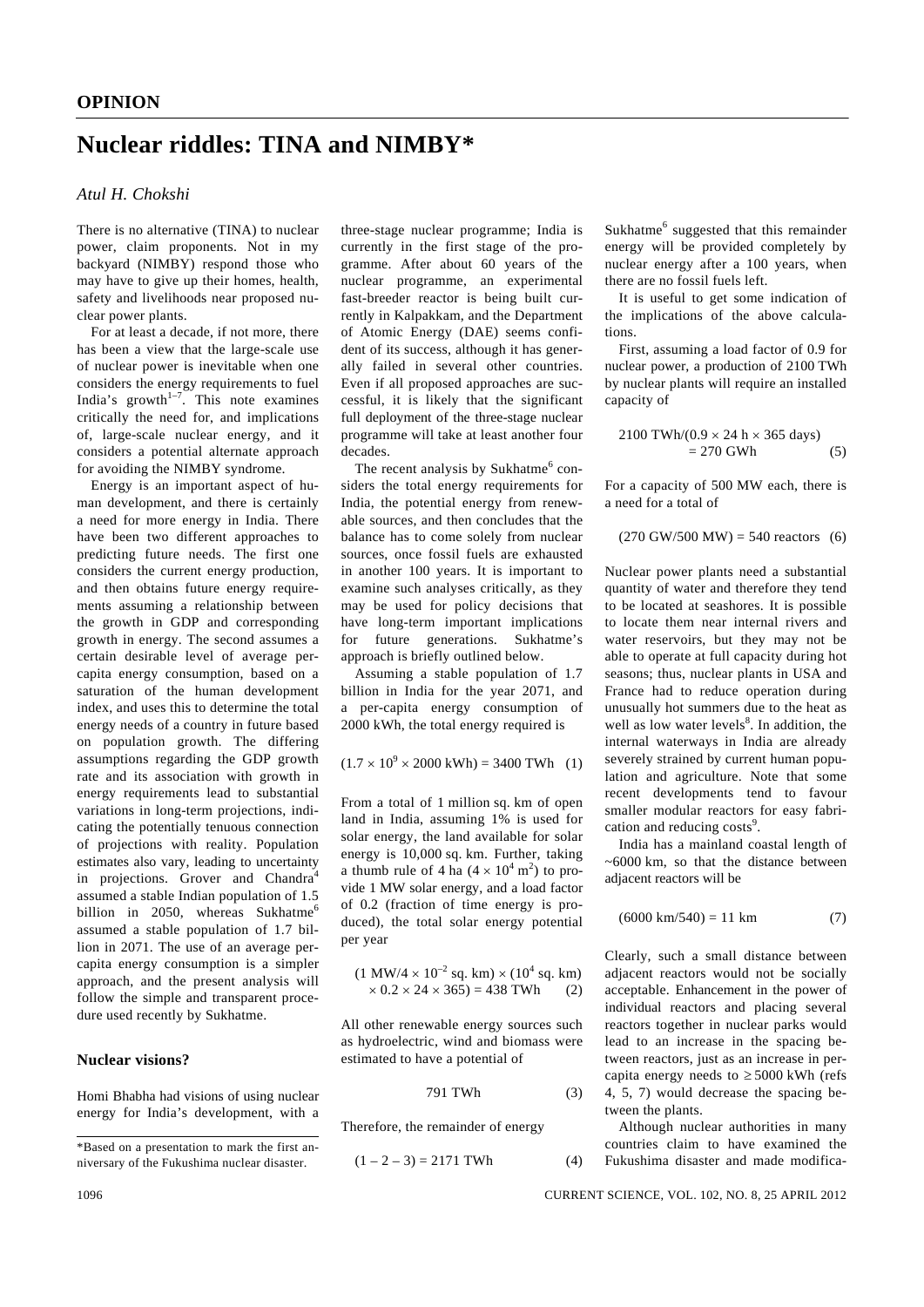# **Nuclear riddles: TINA and NIMBY\***

# *Atul H. Chokshi*

There is no alternative (TINA) to nuclear power, claim proponents. Not in my backyard (NIMBY) respond those who may have to give up their homes, health, safety and livelihoods near proposed nuclear power plants.

 For at least a decade, if not more, there has been a view that the large-scale use of nuclear power is inevitable when one considers the energy requirements to fuel India's growth<sup> $1-7$ </sup>. This note examines critically the need for, and implications of, large-scale nuclear energy, and it considers a potential alternate approach for avoiding the NIMBY syndrome.

 Energy is an important aspect of human development, and there is certainly a need for more energy in India. There have been two different approaches to predicting future needs. The first one considers the current energy production, and then obtains future energy requirements assuming a relationship between the growth in GDP and corresponding growth in energy. The second assumes a certain desirable level of average percapita energy consumption, based on a saturation of the human development index, and uses this to determine the total energy needs of a country in future based on population growth. The differing assumptions regarding the GDP growth rate and its association with growth in energy requirements lead to substantial variations in long-term projections, indicating the potentially tenuous connection of projections with reality. Population estimates also vary, leading to uncertainty in projections. Grover and Chandra<sup>4</sup> assumed a stable Indian population of 1.5 billion in 2050, whereas Sukhatme<sup>6</sup> assumed a stable population of 1.7 billion in 2071. The use of an average percapita energy consumption is a simpler approach, and the present analysis will follow the simple and transparent procedure used recently by Sukhatme.

# **Nuclear visions?**

Homi Bhabha had visions of using nuclear energy for India's development, with a three-stage nuclear programme; India is currently in the first stage of the programme. After about 60 years of the nuclear programme, an experimental fast-breeder reactor is being built currently in Kalpakkam, and the Department of Atomic Energy (DAE) seems confident of its success, although it has generally failed in several other countries. Even if all proposed approaches are successful, it is likely that the significant full deployment of the three-stage nuclear programme will take at least another four decades.

The recent analysis by Sukhatme<sup>6</sup> considers the total energy requirements for India, the potential energy from renewable sources, and then concludes that the balance has to come solely from nuclear sources, once fossil fuels are exhausted in another 100 years. It is important to examine such analyses critically, as they may be used for policy decisions that have long-term important implications for future generations. Sukhatme's approach is briefly outlined below.

 Assuming a stable population of 1.7 billion in India for the year 2071, and a per-capita energy consumption of 2000 kWh, the total energy required is

$$
(1.7 \times 10^9 \times 2000 \text{ kWh}) = 3400 \text{ TWh} \quad (1)
$$

From a total of 1 million sq. km of open land in India, assuming 1% is used for solar energy, the land available for solar energy is 10,000 sq. km. Further, taking a thumb rule of 4 ha  $(4 \times 10^4 \text{ m}^2)$  to provide 1 MW solar energy, and a load factor of 0.2 (fraction of time energy is produced), the total solar energy potential per year

$$
(1 \text{ MW}/4 \times 10^{-2} \text{ sq. km}) \times (10^{4} \text{ sq. km})
$$
  
× 0.2 × 24 × 365) = 438 TWh (2)

All other renewable energy sources such as hydroelectric, wind and biomass were estimated to have a potential of

$$
791 \text{ TWh} \tag{3}
$$

Therefore, the remainder of energy

$$
(1 - 2 - 3) = 2171 \text{ TWh} \tag{4}
$$

Sukhatme<sup>6</sup> suggested that this remainder energy will be provided completely by nuclear energy after a 100 years, when there are no fossil fuels left.

 It is useful to get some indication of the implications of the above calculations.

 First, assuming a load factor of 0.9 for nuclear power, a production of 2100 TWh by nuclear plants will require an installed capacity of

$$
2100 \text{ TWh}/(0.9 \times 24 \text{ h} \times 365 \text{ days})
$$
  
= 270 GWh (5)

For a capacity of 500 MW each, there is a need for a total of

# $(270 \text{ GW}/500 \text{ MW}) = 540 \text{ reactions}$  (6)

Nuclear power plants need a substantial quantity of water and therefore they tend to be located at seashores. It is possible to locate them near internal rivers and water reservoirs, but they may not be able to operate at full capacity during hot seasons; thus, nuclear plants in USA and France had to reduce operation during unusually hot summers due to the heat as well as low water levels $8$ . In addition, the internal waterways in India are already severely strained by current human population and agriculture. Note that some recent developments tend to favour smaller modular reactors for easy fabrication and reducing costs<sup>9</sup>.

 India has a mainland coastal length of ~6000 km, so that the distance between adjacent reactors will be

$$
(6000 \text{ km}/540) = 11 \text{ km} \tag{7}
$$

Clearly, such a small distance between adjacent reactors would not be socially acceptable. Enhancement in the power of individual reactors and placing several reactors together in nuclear parks would lead to an increase in the spacing between reactors, just as an increase in percapita energy needs to  $\geq$  5000 kWh (refs 4, 5, 7) would decrease the spacing between the plants.

 Although nuclear authorities in many countries claim to have examined the Fukushima disaster and made modifica-

<sup>\*</sup>Based on a presentation to mark the first anniversary of the Fukushima nuclear disaster.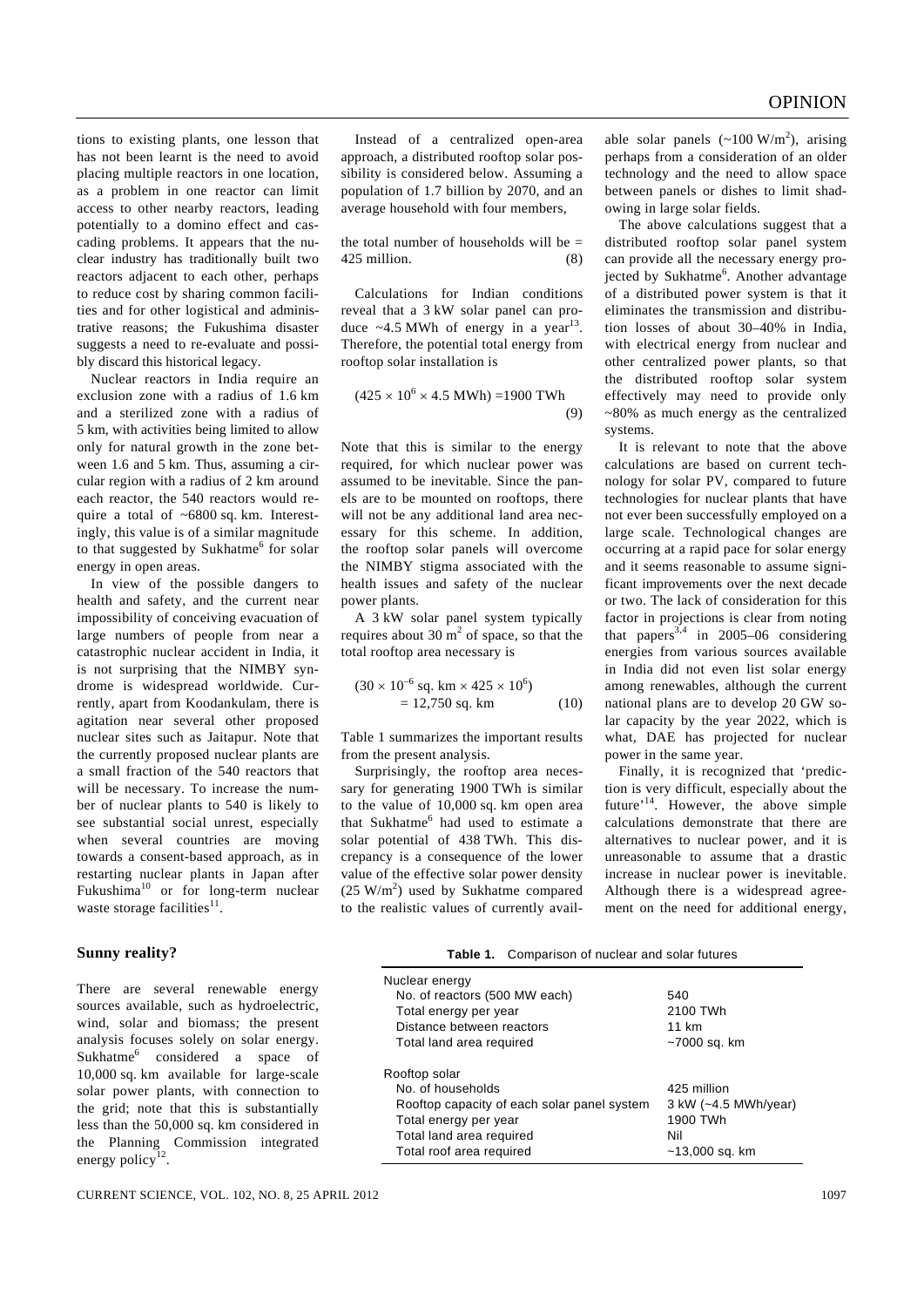tions to existing plants, one lesson that has not been learnt is the need to avoid placing multiple reactors in one location, as a problem in one reactor can limit access to other nearby reactors, leading potentially to a domino effect and cascading problems. It appears that the nuclear industry has traditionally built two reactors adjacent to each other, perhaps to reduce cost by sharing common facilities and for other logistical and administrative reasons; the Fukushima disaster suggests a need to re-evaluate and possibly discard this historical legacy.

 Nuclear reactors in India require an exclusion zone with a radius of 1.6 km and a sterilized zone with a radius of 5 km, with activities being limited to allow only for natural growth in the zone between 1.6 and 5 km. Thus, assuming a circular region with a radius of 2 km around each reactor, the 540 reactors would require a total of ~6800 sq. km. Interestingly, this value is of a similar magnitude to that suggested by Sukhatme<sup>6</sup> for solar energy in open areas.

 In view of the possible dangers to health and safety, and the current near impossibility of conceiving evacuation of large numbers of people from near a catastrophic nuclear accident in India, it is not surprising that the NIMBY syndrome is widespread worldwide. Currently, apart from Koodankulam, there is agitation near several other proposed nuclear sites such as Jaitapur. Note that the currently proposed nuclear plants are a small fraction of the 540 reactors that will be necessary. To increase the number of nuclear plants to 540 is likely to see substantial social unrest, especially when several countries are moving towards a consent-based approach, as in restarting nuclear plants in Japan after Fukushima<sup>10</sup> or for long-term nuclear waste storage facilities $11$ .

#### **Sunny reality?**

There are several renewable energy sources available, such as hydroelectric, wind, solar and biomass; the present analysis focuses solely on solar energy. Sukhatme<sup>6</sup> considered a space of 10,000 sq. km available for large-scale solar power plants, with connection to the grid; note that this is substantially less than the 50,000 sq. km considered in the Planning Commission integrated energy policy

 Instead of a centralized open-area approach, a distributed rooftop solar possibility is considered below. Assuming a population of 1.7 billion by 2070, and an average household with four members,

the total number of households will be  $=$ 425 million. (8)

 Calculations for Indian conditions reveal that a 3 kW solar panel can produce  $~1.5$  MWh of energy in a year<sup>13</sup>. Therefore, the potential total energy from rooftop solar installation is

$$
(425 \times 10^6 \times 4.5 \text{ MWh}) = 1900 \text{ TWh}
$$
\n(9)

Note that this is similar to the energy required, for which nuclear power was assumed to be inevitable. Since the panels are to be mounted on rooftops, there will not be any additional land area necessary for this scheme. In addition, the rooftop solar panels will overcome the NIMBY stigma associated with the health issues and safety of the nuclear power plants.

 A 3 kW solar panel system typically requires about 30  $m<sup>2</sup>$  of space, so that the total rooftop area necessary is

$$
(30 \times 10^{-6} \text{ sq. km} \times 425 \times 10^{6})
$$
  
= 12,750 sq. km (10)

Table 1 summarizes the important results from the present analysis.

 Surprisingly, the rooftop area necessary for generating 1900 TWh is similar to the value of 10,000 sq. km open area that Sukhatme<sup>6</sup> had used to estimate a solar potential of 438 TWh. This discrepancy is a consequence of the lower value of the effective solar power density  $(25 \text{ W/m}^2)$  used by Sukhatme compared to the realistic values of currently avail-

able solar panels  $({\sim}100 \text{ W/m}^2)$ , arising perhaps from a consideration of an older technology and the need to allow space between panels or dishes to limit shadowing in large solar fields.

 The above calculations suggest that a distributed rooftop solar panel system can provide all the necessary energy projected by Sukhatme<sup>6</sup>. Another advantage of a distributed power system is that it eliminates the transmission and distribution losses of about 30–40% in India, with electrical energy from nuclear and other centralized power plants, so that the distributed rooftop solar system effectively may need to provide only ~80% as much energy as the centralized systems.

 It is relevant to note that the above calculations are based on current technology for solar PV, compared to future technologies for nuclear plants that have not ever been successfully employed on a large scale. Technological changes are occurring at a rapid pace for solar energy and it seems reasonable to assume significant improvements over the next decade or two. The lack of consideration for this factor in projections is clear from noting that papers<sup>3,4</sup> in 2005–06 considering energies from various sources available in India did not even list solar energy among renewables, although the current national plans are to develop 20 GW solar capacity by the year 2022, which is what, DAE has projected for nuclear power in the same year.

 Finally, it is recognized that 'prediction is very difficult, especially about the future'14. However, the above simple calculations demonstrate that there are alternatives to nuclear power, and it is unreasonable to assume that a drastic increase in nuclear power is inevitable. Although there is a widespread agreement on the need for additional energy,

| Table 1. Comparison of nuclear and solar futures                                                                                                                   |                                                                          |
|--------------------------------------------------------------------------------------------------------------------------------------------------------------------|--------------------------------------------------------------------------|
| Nuclear energy                                                                                                                                                     |                                                                          |
| No. of reactors (500 MW each)                                                                                                                                      | 540                                                                      |
| Total energy per year                                                                                                                                              | 2100 TWh                                                                 |
| Distance between reactors                                                                                                                                          | 11 km                                                                    |
| Total land area required                                                                                                                                           | ~7000 sq. km                                                             |
| Rooftop solar<br>No. of households<br>Rooftop capacity of each solar panel system<br>Total energy per year<br>Total land area required<br>Total roof area required | 425 million<br>3 kW (~4.5 MWh/year)<br>1900 TWh<br>Nil<br>~13,000 sq. km |